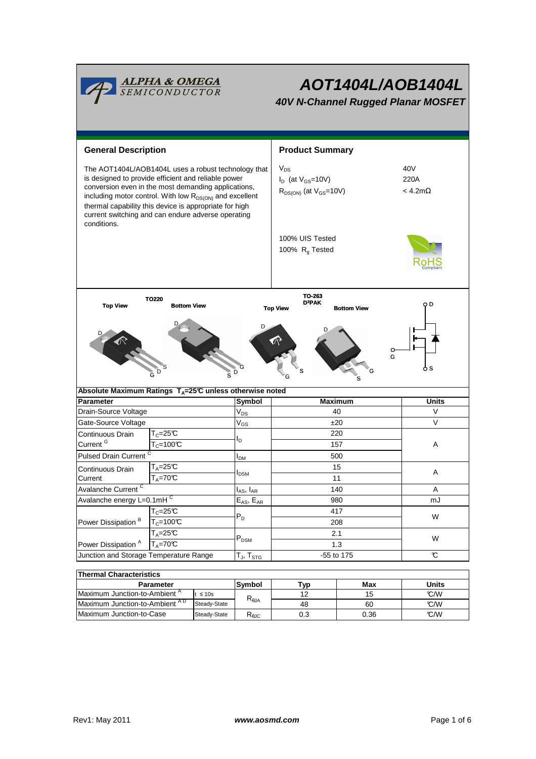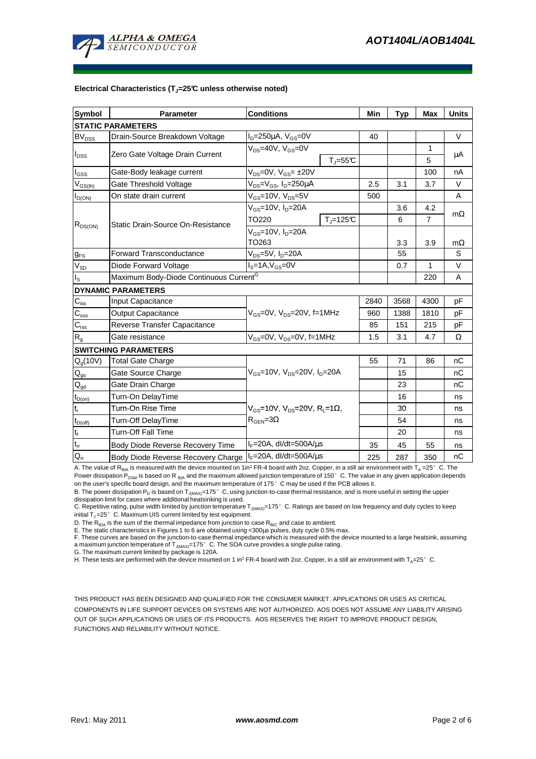

### **Electrical Characteristics (TJ=25°C unless otherwise noted)**

| Symbol                                  | <b>Parameter</b>                                           | <b>Conditions</b>                                                                        |                              | Min  | <b>Typ</b> | <b>Max</b> | <b>Units</b> |
|-----------------------------------------|------------------------------------------------------------|------------------------------------------------------------------------------------------|------------------------------|------|------------|------------|--------------|
| <b>STATIC PARAMETERS</b>                |                                                            |                                                                                          |                              |      |            |            |              |
| $\mathsf{BV}_{\mathsf{DSS}}$            | Drain-Source Breakdown Voltage                             | $ID=250\mu A$ , $VGS=0V$                                                                 |                              | 40   |            |            | $\vee$       |
| $I_{DSS}$                               | Zero Gate Voltage Drain Current                            | $V_{DS}$ =40V, $V_{GS}$ =0V                                                              |                              |      |            | 1          | μA           |
|                                         |                                                            |                                                                                          | $T_{\text{J}} = 55^{\circ}C$ |      |            | 5          |              |
| l <sub>GSS</sub>                        | Gate-Body leakage current                                  | $V_{DS} = 0V$ , $V_{GS} = \pm 20V$                                                       |                              |      |            | 100        | nA           |
| $\mathsf{V}_{\mathsf{GS}(\mathsf{th})}$ | Gate Threshold Voltage                                     | $V_{DS} = V_{GS}$ , $I_D = 250 \mu A$                                                    |                              | 2.5  | 3.1        | 3.7        | $\vee$       |
| $I_{D(ON)}$                             | On state drain current                                     | $V_{GS}$ =10V, $V_{DS}$ =5V                                                              |                              | 500  |            |            | A            |
| $R_{DS(ON)}$                            | Static Drain-Source On-Resistance                          | $V_{GS}$ =10V, I <sub>D</sub> =20A                                                       |                              |      | 3.6        | 4.2        | $m\Omega$    |
|                                         |                                                            | TO220                                                                                    | $T_{\rm J}$ =125°C           |      | 6          | 7          |              |
|                                         |                                                            | $V_{GS}$ =10V, $I_{D}$ =20A<br>TO263                                                     |                              |      |            |            |              |
|                                         |                                                            |                                                                                          |                              |      | 3.3        | 3.9        | $m\Omega$    |
| $g_{FS}$                                | <b>Forward Transconductance</b>                            | V <sub>DS</sub> =5V, I <sub>D</sub> =20A                                                 |                              |      | 55         |            | S            |
| $V_{SD}$                                | Diode Forward Voltage                                      | $I_S = 1A, V_{GS} = 0V$                                                                  |                              |      | 0.7        | 1          | $\vee$       |
| ıs.                                     | Maximum Body-Diode Continuous Current <sup>G</sup>         |                                                                                          |                              |      | 220        | A          |              |
|                                         | <b>DYNAMIC PARAMETERS</b>                                  |                                                                                          |                              |      |            |            |              |
| $C_{iss}$                               | Input Capacitance                                          | $V_{GS}$ =0V, $V_{DS}$ =20V, f=1MHz                                                      |                              | 2840 | 3568       | 4300       | pF           |
| $C_{\rm oss}$                           | <b>Output Capacitance</b>                                  |                                                                                          |                              | 960  | 1388       | 1810       | pF           |
| $C_{\rm rss}$                           | Reverse Transfer Capacitance                               |                                                                                          |                              | 85   | 151        | 215        | рF           |
| R <sub>g</sub>                          | Gate resistance                                            | $V_{GS}$ =0V, $V_{DS}$ =0V, f=1MHz                                                       |                              | 1.5  | 3.1        | 4.7        | Ω            |
|                                         | <b>SWITCHING PARAMETERS</b>                                |                                                                                          |                              |      |            |            |              |
| $Q_q(10V)$                              | <b>Total Gate Charge</b>                                   | $V_{GS}$ =10V, $V_{DS}$ =20V, $I_{D}$ =20A                                               |                              | 55   | 71         | 86         | nC           |
| $\mathsf{Q}_{\text{gs}}$                | Gate Source Charge                                         |                                                                                          |                              |      | 15         |            | nC           |
| $\mathsf{Q}_{\underline{\mathsf{gd}}}$  | Gate Drain Charge                                          |                                                                                          |                              |      | 23         |            | nC           |
| $t_{D(0n)}$                             | Turn-On DelayTime                                          | $V_{GS}$ =10V, $V_{DS}$ =20V, R <sub>L</sub> =1 $\Omega$ ,<br>$R_{\text{GFN}} = 3\Omega$ |                              |      | 16         |            | ns           |
| $\mathsf{t}_{\mathsf{r}}$               | Turn-On Rise Time                                          |                                                                                          |                              |      | 30         |            | ns           |
| $t_{D(off)}$                            | Turn-Off DelayTime                                         |                                                                                          |                              |      | 54         |            | ns           |
| $t_f$                                   | <b>Turn-Off Fall Time</b>                                  |                                                                                          |                              |      | 20         |            | ns           |
| $t_{rr}$                                | Body Diode Reverse Recovery Time                           | $I_F = 20A$ , dl/dt=500A/ $\mu$ s                                                        |                              | 35   | 45         | 55         | ns           |
| $Q_{rr}$                                | Body Diode Reverse Recovery Charge   IF=20A, dl/dt=500A/us |                                                                                          |                              | 225  | 287        | 350        | nC           |

A. The value of R<sub>BJA</sub> is measured with the device mounted on 1in<sup>2</sup> FR-4 board with 2oz. Copper, in a still air environment with T<sub>A</sub> =25°C. The Power dissipation P<sub>DSM</sub> is based on R <sub>θJA</sub> and the maximum allowed junction temperature of 150°C. The value in any given application depends on the user's specific board design, and the maximum temperature of 175°C may be used if the PCB allows it.

B. The power dissipation P<sub>D</sub> is based on T<sub>J(MAX)</sub>=175°C, using junction-to-case thermal resistance, and is more useful in setting the upper<br>dissipation limit for cases where additional heatsinking is used.

C. Repetitive rating, pulse width limited by junction temperature  $T_{J(MAX)}$ =175°C. Ratings are based on low frequency and duty cycles to keep initial  $T_J = 25^\circ$  C. Maximum UIS current limited by test equipment.

D. The  $R_{\theta JA}$  is the sum of the thermal impedance from junction to case  $R_{\theta JC}$  and case to ambient.

E. The static characteristics in Figures 1 to 6 are obtained using <300µs pulses, duty cycle 0.5% max.

E. These curves are based on the junction-to-case thermal impedance which is measured with the device mounted to a large heatsink, assuming a maximum junction temperature of T<sub>J(MAX)</sub>=175° C. The SOA curve provides a single pulse rating.<br>G. The maximum current limited by package is 120A.

H. These tests are performed with the device mounted on 1 in<sup>2</sup> FR-4 board with 2oz. Copper, in a still air environment with  $T_A=25^\circ$  C.

THIS PRODUCT HAS BEEN DESIGNED AND QUALIFIED FOR THE CONSUMER MARKET. APPLICATIONS OR USES AS CRITICAL COMPONENTS IN LIFE SUPPORT DEVICES OR SYSTEMS ARE NOT AUTHORIZED. AOS DOES NOT ASSUME ANY LIABILITY ARISING OUT OF SUCH APPLICATIONS OR USES OF ITS PRODUCTS. AOS RESERVES THE RIGHT TO IMPROVE PRODUCT DESIGN, FUNCTIONS AND RELIABILITY WITHOUT NOTICE.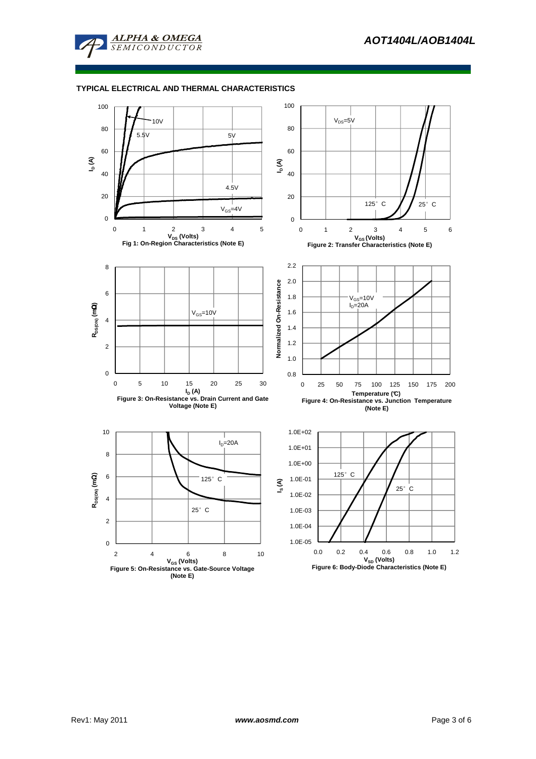

# **TYPICAL ELECTRICAL AND THERMAL CHARACTERISTICS**

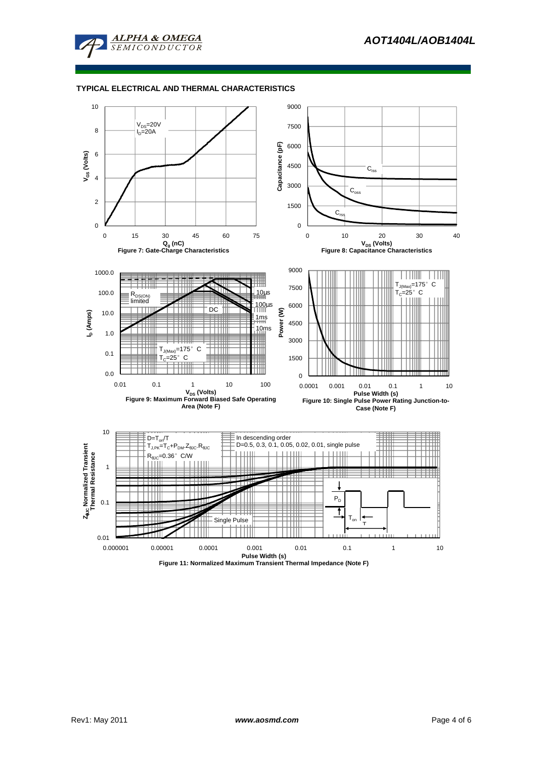

## **TYPICAL ELECTRICAL AND THERMAL CHARACTERISTICS**

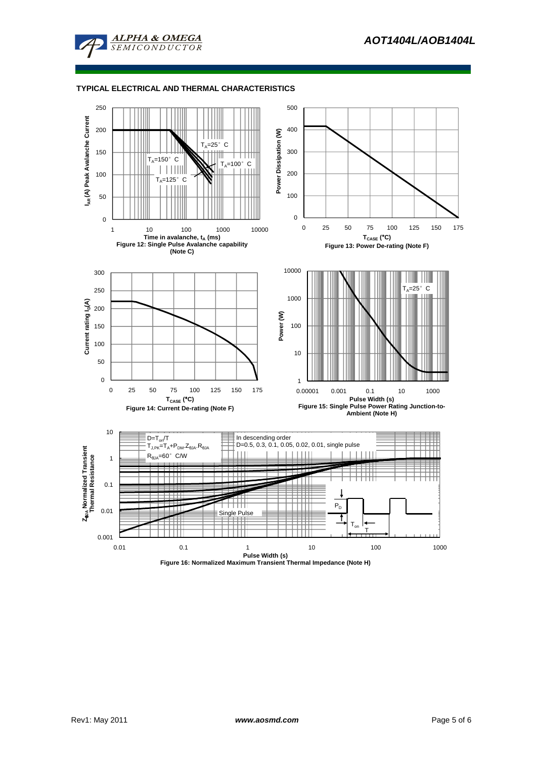

# **TYPICAL ELECTRICAL AND THERMAL CHARACTERISTICS**